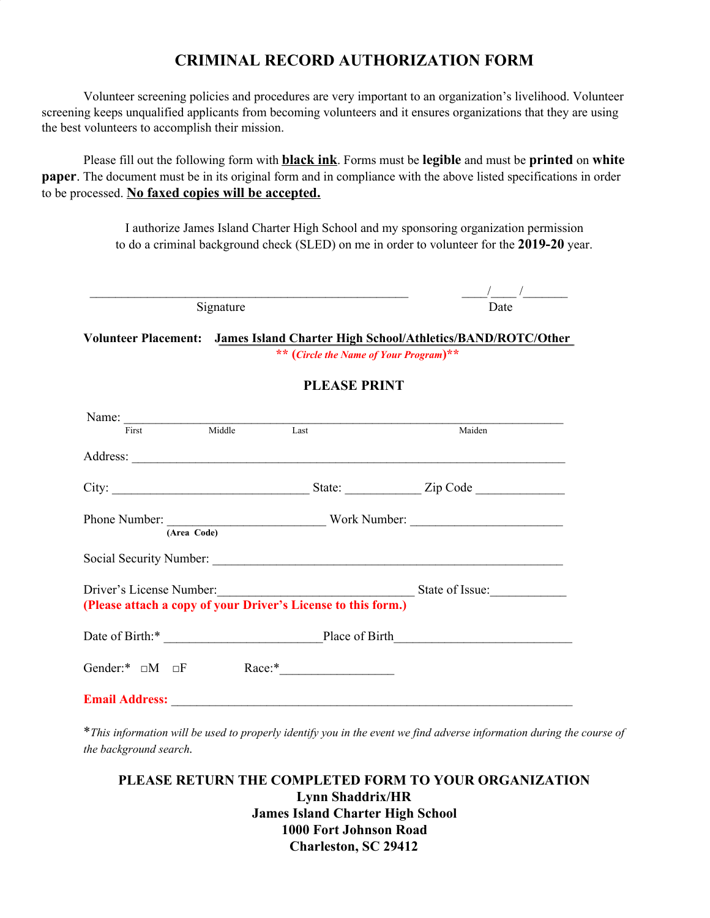## **CRIMINAL RECORD AUTHORIZATION FORM**

Volunteer screening policies and procedures are very important to an organization's livelihood. Volunteer screening keeps unqualified applicants from becoming volunteers and it ensures organizations that they are using the best volunteers to accomplish their mission.

Please fill out the following form with **black ink**. Forms must be **legible** and must be **printed** on **white paper**. The document must be in its original form and in compliance with the above listed specifications in order to be processed. **No faxed copies will be accepted.**

> I authorize James Island Charter High School and my sponsoring organization permission to do a criminal background check (SLED) on me in order to volunteer for the **2019-20** year.

| Signature | <b>Date</b> |
|-----------|-------------|
|           |             |

**Volunteer Placement: James Island Charter High School/Athletics/BAND/ROTC/Other \*\* (***Circle the Name of Your Program***)\*\***

## **PLEASE PRINT**

| Name:                            |             |                                                               |                        |
|----------------------------------|-------------|---------------------------------------------------------------|------------------------|
| <b>First</b>                     | Middle      | Last                                                          | Maiden                 |
|                                  |             |                                                               |                        |
| City:                            |             |                                                               | State: <u>Zip Code</u> |
|                                  | (Area Code) |                                                               |                        |
|                                  |             |                                                               |                        |
|                                  |             | Driver's License Number:                                      | State of Issue:        |
|                                  |             | (Please attach a copy of your Driver's License to this form.) |                        |
|                                  |             |                                                               |                        |
| Gender:* $\square M$ $\square F$ |             |                                                               |                        |
| <b>Email Address:</b>            |             |                                                               |                        |

\*This information will be used to properly identify you in the event we find adverse information during the course of *the background search.*

## **PLEASE RETURN THE COMPLETED FORM TO YOUR ORGANIZATION Lynn Shaddrix/HR James Island Charter High School 1000 Fort Johnson Road Charleston, SC 29412**